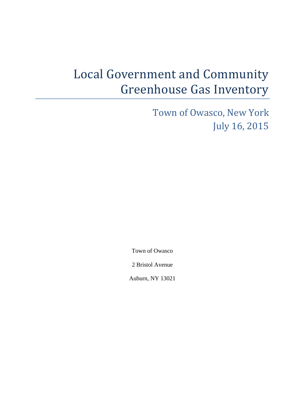# Local Government and Community Greenhouse Gas Inventory

Town of Owasco, New York July 16, 2015

Town of Owasco

2 Bristol Avenue

Auburn, NY 13021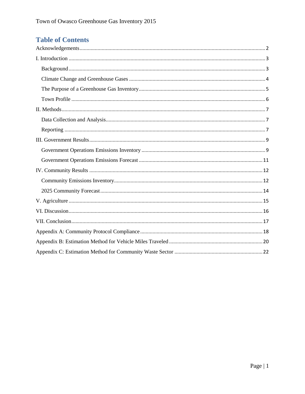## **Table of Contents**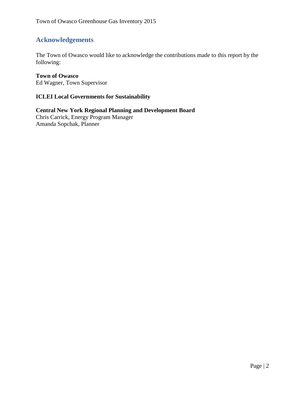## <span id="page-2-0"></span>**Acknowledgements**

The Town of Owasco would like to acknowledge the contributions made to this report by the following:

#### **Town of Owasco**

Ed Wagner, Town Supervisor

#### **ICLEI Local Governments for Sustainability**

**Central New York Regional Planning and Development Board** Chris Carrick, Energy Program Manager Amanda Sopchak, Planner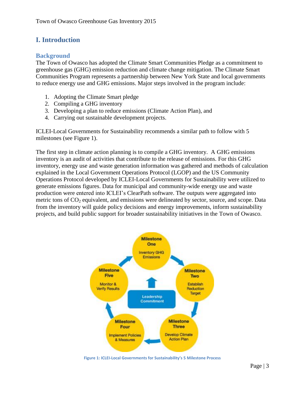## <span id="page-3-0"></span>**I. Introduction**

#### <span id="page-3-1"></span>**Background**

The Town of Owasco has adopted the Climate Smart Communities Pledge as a commitment to greenhouse gas (GHG) emission reduction and climate change mitigation. The Climate Smart Communities Program represents a partnership between New York State and local governments to reduce energy use and GHG emissions. Major steps involved in the program include:

- 1. Adopting the Climate Smart pledge
- 2. Compiling a GHG inventory
- 3. Developing a plan to reduce emissions (Climate Action Plan), and
- 4. Carrying out sustainable development projects.

ICLEI-Local Governments for Sustainability recommends a similar path to follow with 5 milestones (see Figure 1).

The first step in climate action planning is to compile a GHG inventory. A GHG emissions inventory is an audit of activities that contribute to the release of emissions. For this GHG inventory, energy use and waste generation information was gathered and methods of calculation explained in the Local Government Operations Protocol (LGOP) and the US Community Operations Protocol developed by ICLEI-Local Governments for Sustainability were utilized to generate emissions figures. Data for municipal and community-wide energy use and waste production were entered into ICLEI's ClearPath software. The outputs were aggregated into metric tons of  $CO<sub>2</sub>$  equivalent, and emissions were delineated by sector, source, and scope. Data from the inventory will guide policy decisions and energy improvements, inform sustainability projects, and build public support for broader sustainability initiatives in the Town of Owasco.



**Figure 1: ICLEI-Local Governments for Sustainability's 5 Milestone Process**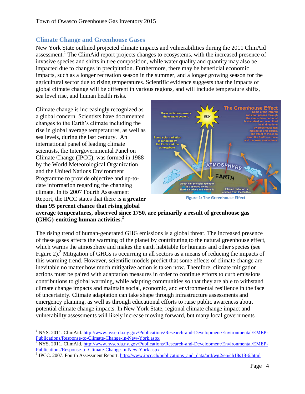#### <span id="page-4-0"></span>**Climate Change and Greenhouse Gases**

New York State outlined projected climate impacts and vulnerabilities during the 2011 ClimAid assessment.<sup>1</sup> The ClimAid report projects changes to ecosystems, with the increased presence of invasive species and shifts in tree composition, while water quality and quantity may also be impacted due to changes in precipitation. Furthermore, there may be beneficial economic impacts, such as a longer recreation season in the summer, and a longer growing season for the agricultural sector due to rising temperatures. Scientific evidence suggests that the impacts of global climate change will be different in various regions, and will include temperature shifts, sea level rise, and human health risks.

Climate change is increasingly recognized as a global concern. Scientists have documented changes to the Earth's climate including the rise in global average temperatures, as well as sea levels, during the last century. An international panel of leading climate scientists, the Intergovernmental Panel on Climate Change (IPCC), was formed in 1988 by the World Meteorological Organization and the United Nations Environment Programme to provide objective and up-todate information regarding the changing climate. In its 2007 Fourth Assessment Report, the IPCC states that there is **a greater than 95 percent chance that rising global** 

 $\overline{a}$ 



**Figure 1: The Greenhouse Effect**

**average temperatures, observed since 1750, are primarily a result of greenhouse gas (GHG)-emitting human activities.<sup>2</sup>**

The rising trend of human-generated GHG emissions is a global threat. The increased presence of these gases affects the warming of the planet by contributing to the natural greenhouse effect, which warms the atmosphere and makes the earth habitable for humans and other species (see Figure 2).<sup>3</sup> Mitigation of GHGs is occurring in all sectors as a means of reducing the impacts of this warming trend. However, scientific models predict that some effects of climate change are inevitable no matter how much mitigative action is taken now. Therefore, climate mitigation actions must be paired with adaptation measures in order to continue efforts to curb emissions contributions to global warming, while adapting communities so that they are able to withstand climate change impacts and maintain social, economic, and environmental resilience in the face of uncertainty. Climate adaptation can take shape through infrastructure assessments and emergency planning, as well as through educational efforts to raise public awareness about potential climate change impacts. In New York State, regional climate change impact and vulnerability assessments will likely increase moving forward, but many local governments

<sup>&</sup>lt;sup>1</sup> NYS. 2011. ClimAid. [http://www.nyserda.ny.gov/Publications/Research-and-Development/Environmental/EMEP-](http://www.nyserda.ny.gov/Publications/Research-and-Development/Environmental/EMEP-Publications/Response-to-Climate-Change-in-New-York.aspx)[Publications/Response-to-Climate-Change-in-New-York.aspx](http://www.nyserda.ny.gov/Publications/Research-and-Development/Environmental/EMEP-Publications/Response-to-Climate-Change-in-New-York.aspx)

 $\frac{2}{3}$  NYS. 2011. ClimAid. [http://www.nyserda.ny.gov/Publications/Research-and-Development/Environmental/EMEP-](http://www.nyserda.ny.gov/Publications/Research-and-Development/Environmental/EMEP-Publications/Response-to-Climate-Change-in-New-York.aspx)[Publications/Response-to-Climate-Change-in-New-York.aspx](http://www.nyserda.ny.gov/Publications/Research-and-Development/Environmental/EMEP-Publications/Response-to-Climate-Change-in-New-York.aspx)

<sup>&</sup>lt;sup>3</sup> IPCC. 2007. Fourth Assessment Report. [http://www.ipcc.ch/publications\\_and\\_data/ar4/wg2/en/ch18s18-6.html](http://www.ipcc.ch/publications_and_data/ar4/wg2/en/ch18s18-6.html)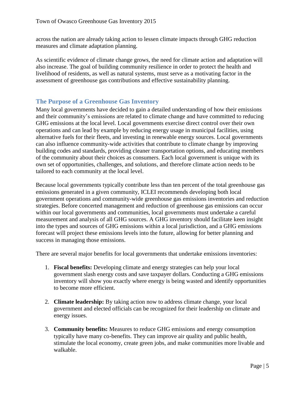across the nation are already taking action to lessen climate impacts through GHG reduction measures and climate adaptation planning.

As scientific evidence of climate change grows, the need for climate action and adaptation will also increase. The goal of building community resilience in order to protect the health and livelihood of residents, as well as natural systems, must serve as a motivating factor in the assessment of greenhouse gas contributions and effective sustainability planning.

#### <span id="page-5-0"></span>**The Purpose of a Greenhouse Gas Inventory**

Many local governments have decided to gain a detailed understanding of how their emissions and their community's emissions are related to climate change and have committed to reducing GHG emissions at the local level. Local governments exercise direct control over their own operations and can lead by example by reducing energy usage in municipal facilities, using alternative fuels for their fleets, and investing in renewable energy sources. Local governments can also influence community-wide activities that contribute to climate change by improving building codes and standards, providing cleaner transportation options, and educating members of the community about their choices as consumers. Each local government is unique with its own set of opportunities, challenges, and solutions, and therefore climate action needs to be tailored to each community at the local level.

Because local governments typically contribute less than ten percent of the total greenhouse gas emissions generated in a given community, ICLEI recommends developing both local government operations and community-wide greenhouse gas emissions inventories and reduction strategies. Before concerted management and reduction of greenhouse gas emissions can occur within our local governments and communities, local governments must undertake a careful measurement and analysis of all GHG sources. A GHG inventory should facilitate keen insight into the types and sources of GHG emissions within a local jurisdiction, and a GHG emissions forecast will project these emissions levels into the future, allowing for better planning and success in managing those emissions.

There are several major benefits for local governments that undertake emissions inventories:

- 1. **Fiscal benefits:** Developing climate and energy strategies can help your local government slash energy costs and save taxpayer dollars. Conducting a GHG emissions inventory will show you exactly where energy is being wasted and identify opportunities to become more efficient.
- 2. **Climate leadership:** By taking action now to address climate change, your local government and elected officials can be recognized for their leadership on climate and energy issues.
- 3. **Community benefits:** Measures to reduce GHG emissions and energy consumption typically have many co-benefits. They can improve air quality and public health, stimulate the local economy, create green jobs, and make communities more livable and walkable.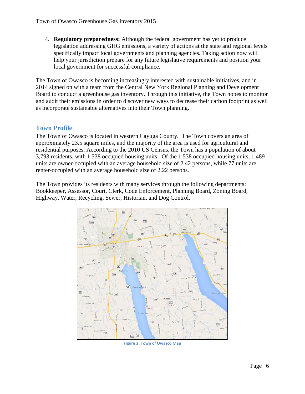4. **Regulatory preparedness:** Although the federal government has yet to produce legislation addressing GHG emissions, a variety of actions at the state and regional levels specifically impact local governments and planning agencies. Taking action now will help your jurisdiction prepare for any future legislative requirements and position your local government for successful compliance.

The Town of Owasco is becoming increasingly interested with sustainable initiatives, and in 2014 signed on with a team from the Central New York Regional Planning and Development Board to conduct a greenhouse gas inventory. Through this initiative, the Town hopes to monitor and audit their emissions in order to discover new ways to decrease their carbon footprint as well as incorporate sustainable alternatives into their Town planning.

#### <span id="page-6-0"></span>**Town Profile**

The Town of Owasco is located in western Cayuga County. The Town covers an area of approximately 23.5 square miles, and the majority of the area is used for agricultural and residential purposes. According to the 2010 US Census, the Town has a population of about 3,793 residents, with 1,538 occupied housing units. Of the 1,538 occupied housing units, 1,489 units are owner-occupied with an average household size of 2.42 persons, while 77 units are renter-occupied with an average household size of 2.22 persons.

The Town provides its residents with many services through the following departments: Bookkeeper, Assessor, Court, Clerk, Code Enforcement, Planning Board, Zoning Board, Highway, Water, Recycling, Sewer, Historian, and Dog Control.



**Figure 3: Town of Owasco Map**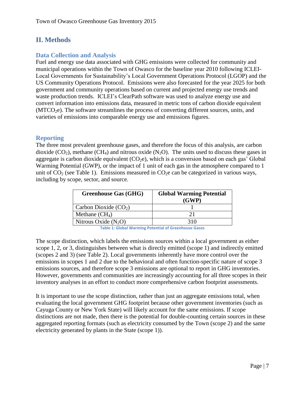## <span id="page-7-0"></span>**II. Methods**

#### <span id="page-7-1"></span>**Data Collection and Analysis**

Fuel and energy use data associated with GHG emissions were collected for community and municipal operations within the Town of Owasco for the baseline year 2010 following ICLEI-Local Governments for Sustainability's Local Government Operations Protocol (LGOP) and the US Community Operations Protocol. Emissions were also forecasted for the year 2025 for both government and community operations based on current and projected energy use trends and waste production trends. ICLEI's ClearPath software was used to analyze energy use and convert information into emissions data, measured in metric tons of carbon dioxide equivalent  $(MTCO<sub>2</sub>e)$ . The software streamlines the process of converting different sources, units, and varieties of emissions into comparable energy use and emissions figures.

#### <span id="page-7-2"></span>**Reporting**

The three most prevalent greenhouse gases, and therefore the focus of this analysis, are carbon dioxide  $(CO_2)$ , methane  $(CH_4)$  and nitrous oxide  $(N_2O)$ . The units used to discuss these gases in aggregate is carbon dioxide equivalent  $(CO<sub>2</sub>e)$ , which is a conversion based on each gas' Global Warming Potential (GWP), or the impact of 1 unit of each gas in the atmosphere compared to 1 unit of  $CO<sub>2</sub>$  (see Table 1). Emissions measured in  $CO<sub>2</sub>e$  can be categorized in various ways, including by scope, sector, and source.

| <b>Greenhouse Gas (GHG)</b> | <b>Global Warming Potential</b><br>(GWP) |
|-----------------------------|------------------------------------------|
| Carbon Dioxide $(CO2)$      |                                          |
| Methane $(CH_4)$            | 21                                       |
| Nitrous Oxide $(N_2O)$      | 310                                      |

**Table 1: Global Warming Potential of Greenhouse Gases**

The scope distinction, which labels the emissions sources within a local government as either scope 1, 2, or 3, distinguishes between what is directly emitted (scope 1) and indirectly emitted (scopes 2 and 3) (see Table 2). Local governments inherently have more control over the emissions in scopes 1 and 2 due to the behavioral and often function-specific nature of scope 3 emissions sources, and therefore scope 3 emissions are optional to report in GHG inventories. However, governments and communities are increasingly accounting for all three scopes in their inventory analyses in an effort to conduct more comprehensive carbon footprint assessments.

It is important to use the scope distinction, rather than just an aggregate emissions total, when evaluating the local government GHG footprint because other government inventories (such as Cayuga County or New York State) will likely account for the same emissions. If scope distinctions are not made, then there is the potential for double-counting certain sources in these aggregated reporting formats (such as electricity consumed by the Town (scope 2) and the same electricity generated by plants in the State (scope 1)).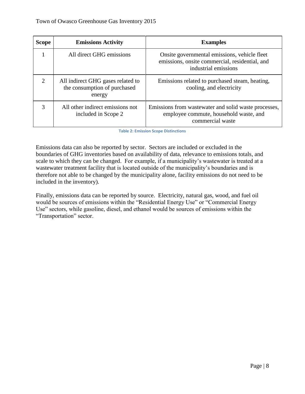| <b>Scope</b>          | <b>Emissions Activity</b>                                                   | <b>Examples</b>                                                                                                        |
|-----------------------|-----------------------------------------------------------------------------|------------------------------------------------------------------------------------------------------------------------|
|                       | All direct GHG emissions                                                    | Onsite governmental emissions, vehicle fleet<br>emissions, onsite commercial, residential, and<br>industrial emissions |
| $\mathcal{D}_{\cdot}$ | All indirect GHG gases related to<br>the consumption of purchased<br>energy | Emissions related to purchased steam, heating,<br>cooling, and electricity                                             |
| 3                     | All other indirect emissions not<br>included in Scope 2                     | Emissions from was tewater and solid was te processes,<br>employee commute, household waste, and<br>commercial waste   |

**Table 2: Emission Scope Distinctions**

Emissions data can also be reported by sector. Sectors are included or excluded in the boundaries of GHG inventories based on availability of data, relevance to emissions totals, and scale to which they can be changed. For example, if a municipality's wastewater is treated at a wastewater treatment facility that is located outside of the municipality's boundaries and is therefore not able to be changed by the municipality alone, facility emissions do not need to be included in the inventory).

Finally, emissions data can be reported by source. Electricity, natural gas, wood, and fuel oil would be sources of emissions within the "Residential Energy Use" or "Commercial Energy Use" sectors, while gasoline, diesel, and ethanol would be sources of emissions within the "Transportation" sector.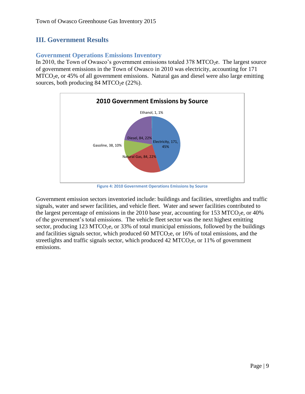## <span id="page-9-0"></span>**III. Government Results**

#### <span id="page-9-1"></span>**Government Operations Emissions Inventory**

In 2010, the Town of Owasco's government emissions totaled  $378 \text{ MTCO}_2$ . The largest source of government emissions in the Town of Owasco in 2010 was electricity, accounting for 171  $MTCO<sub>2</sub>e$ , or 45% of all government emissions. Natural gas and diesel were also large emitting sources, both producing  $84$  MTCO<sub>2</sub>e (22%).



**Figure 4: 2010 Government Operations Emissions by Source**

Government emission sectors inventoried include: buildings and facilities, streetlights and traffic signals, water and sewer facilities, and vehicle fleet. Water and sewer facilities contributed to the largest percentage of emissions in the 2010 base year, accounting for 153 MTCO<sub>2</sub>e, or 40% of the government's total emissions. The vehicle fleet sector was the next highest emitting sector, producing 123 MTCO<sub>2</sub>e, or 33% of total municipal emissions, followed by the buildings and facilities signals sector, which produced 60 MTCO<sub>2</sub>e, or 16% of total emissions, and the streetlights and traffic signals sector, which produced  $42 \text{ MTCO}_2$ e, or  $11\%$  of government emissions.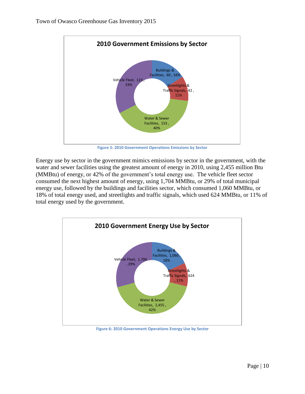

**Figure 5: 2010 Government Operations Emissions by Sector**

Energy use by sector in the government mimics emissions by sector in the government, with the water and sewer facilities using the greatest amount of energy in 2010, using 2,455 million Btu (MMBtu) of energy, or 42% of the government's total energy use. The vehicle fleet sector consumed the next highest amount of energy, using 1,704 MMBtu, or 29% of total municipal energy use, followed by the buildings and facilities sector, which consumed 1,060 MMBtu, or 18% of total energy used, and streetlights and traffic signals, which used 624 MMBtu, or 11% of total energy used by the government.



**Figure 6: 2010 Government Operations Energy Use by Sector**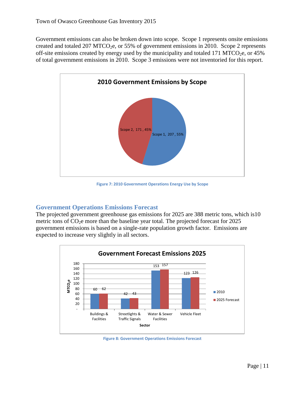Government emissions can also be broken down into scope. Scope 1 represents onsite emissions created and totaled 207 MTCO<sub>2</sub>e, or 55% of government emissions in 2010. Scope 2 represents off-site emissions created by energy used by the municipality and totaled 171 MTCO<sub>2</sub>e, or 45% of total government emissions in 2010. Scope 3 emissions were not inventoried for this report.



**Figure 7: 2010 Government Operations Energy Use by Scope**

#### <span id="page-11-0"></span>**Government Operations Emissions Forecast**

The projected government greenhouse gas emissions for 2025 are 388 metric tons, which is10 metric tons of  $CO<sub>2</sub>e$  more than the baseline year total. The projected forecast for 2025 government emissions is based on a single-rate population growth factor. Emissions are expected to increase very slightly in all sectors.



**Figure 8: Government Operations Emissions Forecast**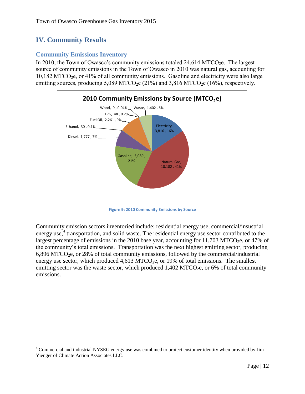## <span id="page-12-0"></span>**IV. Community Results**

 $\overline{\phantom{a}}$ 

#### <span id="page-12-1"></span>**Community Emissions Inventory**

In 2010, the Town of Owasco's community emissions totaled  $24,614$  MTCO<sub>2</sub>e. The largest source of community emissions in the Town of Owasco in 2010 was natural gas, accounting for  $10,182$  MTCO<sub>2</sub>e, or 41% of all community emissions. Gasoline and electricity were also large emitting sources, producing  $5,089 \text{ MTCO}_2$ e (21%) and  $3,816 \text{ MTCO}_2$ e (16%), respectively.



**Figure 9: 2010 Community Emissions by Source**

Community emission sectors inventoried include: residential energy use, commercial/insustrial energy use,<sup>4</sup> transportation, and solid waste. The residential energy use sector contributed to the largest percentage of emissions in the 2010 base year, accounting for 11,703 MTCO<sub>2</sub>e, or 47% of the community's total emissions. Transportation was the next highest emitting sector, producing  $6,896$  MTCO<sub>2</sub>e, or 28% of total community emissions, followed by the commercial/industrial energy use sector, which produced  $4.613 \text{ MTCO}_{2}$ e, or 19% of total emissions. The smallest emitting sector was the waste sector, which produced  $1,402$  MTCO<sub>2</sub>e, or 6% of total community emissions.

<sup>&</sup>lt;sup>4</sup> Commercial and industrial NYSEG energy use was combined to protect customer identity when provided by Jim Yienger of Climate Action Associates LLC.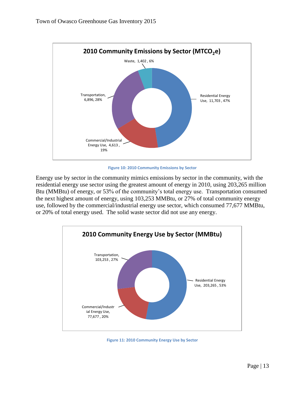

**Figure 10: 2010 Community Emissions by Sector**

Energy use by sector in the community mimics emissions by sector in the community, with the residential energy use sector using the greatest amount of energy in 2010, using 203,265 million Btu (MMBtu) of energy, or 53% of the community's total energy use. Transportation consumed the next highest amount of energy, using 103,253 MMBtu, or 27% of total community energy use, followed by the commercial/industrial energy use sector, which consumed 77,677 MMBtu, or 20% of total energy used. The solid waste sector did not use any energy.



**Figure 11: 2010 Community Energy Use by Sector**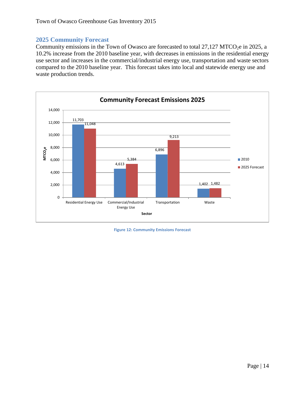#### <span id="page-14-0"></span>**2025 Community Forecast**

Community emissions in the Town of Owasco are forecasted to total  $27,127$  MTCO<sub>2</sub>e in 2025, a 10.2% increase from the 2010 baseline year, with decreases in emissions in the residential energy use sector and increases in the commercial/industrial energy use, transportation and waste sectors compared to the 2010 baseline year. This forecast takes into local and statewide energy use and waste production trends.



**Figure 12: Community Emissions Forecast**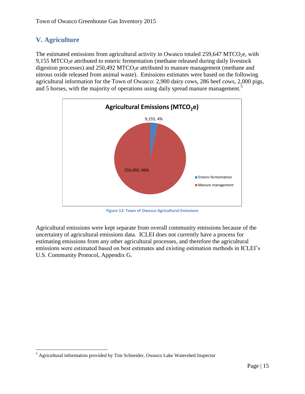## <span id="page-15-0"></span>**V. Agriculture**

The estimated emissions from agricultural activity in Owasco totaled  $259,647$  MTCO<sub>2</sub>e, with  $9,155$  MTCO<sub>2</sub>e attributed to enteric fermentation (methane released during daily livestock digestion processes) and  $250,492$  MTCO<sub>2</sub>e attributed to manure management (methane and nitrous oxide released from animal waste). Emissions estimates were based on the following agricultural information for the Town of Owasco: 2,900 dairy cows, 286 beef cows, 2,000 pigs, and 5 horses, with the majority of operations using daily spread manure management.<sup>5</sup>



**Figure 13: Town of Owasco Agricultural Emissions**

Agricultural emissions were kept separate from overall community emissions because of the uncertainty of agricultural emissions data. ICLEI does not currently have a process for estimating emissions from any other agricultural processes, and therefore the agricultural emissions were estimated based on best estimates and existing estimation methods in ICLEI's U.S. Community Protocol, Appendix G.

 $\overline{\phantom{a}}$ <sup>5</sup> Agricultural information provided by Tim Schneider, Owasco Lake Watershed Inspector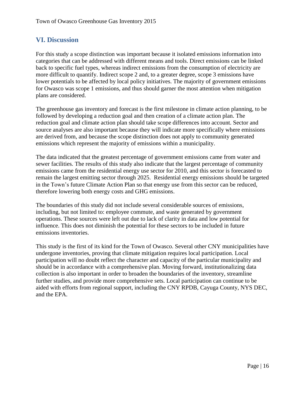### <span id="page-16-0"></span>**VI. Discussion**

For this study a scope distinction was important because it isolated emissions information into categories that can be addressed with different means and tools. Direct emissions can be linked back to specific fuel types, whereas indirect emissions from the consumption of electricity are more difficult to quantify. Indirect scope 2 and, to a greater degree, scope 3 emissions have lower potentials to be affected by local policy initiatives. The majority of government emissions for Owasco was scope 1 emissions, and thus should garner the most attention when mitigation plans are considered.

The greenhouse gas inventory and forecast is the first milestone in climate action planning, to be followed by developing a reduction goal and then creation of a climate action plan. The reduction goal and climate action plan should take scope differences into account. Sector and source analyses are also important because they will indicate more specifically where emissions are derived from, and because the scope distinction does not apply to community generated emissions which represent the majority of emissions within a municipality.

The data indicated that the greatest percentage of government emissions came from water and sewer facilities. The results of this study also indicate that the largest percentage of community emissions came from the residential energy use sector for 2010, and this sector is forecasted to remain the largest emitting sector through 2025. Residential energy emissions should be targeted in the Town's future Climate Action Plan so that energy use from this sector can be reduced, therefore lowering both energy costs and GHG emissions.

The boundaries of this study did not include several considerable sources of emissions, including, but not limited to: employee commute, and waste generated by government operations. These sources were left out due to lack of clarity in data and low potential for influence. This does not diminish the potential for these sectors to be included in future emissions inventories.

This study is the first of its kind for the Town of Owasco. Several other CNY municipalities have undergone inventories, proving that climate mitigation requires local participation. Local participation will no doubt reflect the character and capacity of the particular municipality and should be in accordance with a comprehensive plan. Moving forward, institutionalizing data collection is also important in order to broaden the boundaries of the inventory, streamline further studies, and provide more comprehensive sets. Local participation can continue to be aided with efforts from regional support, including the CNY RPDB, Cayuga County, NYS DEC, and the EPA.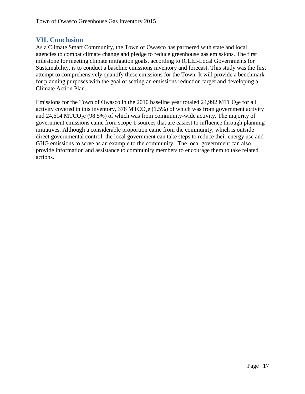#### <span id="page-17-0"></span>**VII. Conclusion**

As a Climate Smart Community, the Town of Owasco has partnered with state and local agencies to combat climate change and pledge to reduce greenhouse gas emissions. The first milestone for meeting climate mitigation goals, according to ICLEI-Local Governments for Sustainability, is to conduct a baseline emissions inventory and forecast. This study was the first attempt to comprehensively quantify these emissions for the Town. It will provide a benchmark for planning purposes with the goal of setting an emissions reduction target and developing a Climate Action Plan.

Emissions for the Town of Owasco in the 2010 baseline year totaled  $24,992$  MTCO<sub>2</sub>e for all activity covered in this inventory, 378 MTCO<sub>2</sub>e  $(1.5%)$  of which was from government activity and 24,614 MTCO<sub>2</sub>e (98.5%) of which was from community-wide activity. The majority of government emissions came from scope 1 sources that are easiest to influence through planning initiatives. Although a considerable proportion came from the community, which is outside direct governmental control, the local government can take steps to reduce their energy use and GHG emissions to serve as an example to the community. The local government can also provide information and assistance to community members to encourage them to take related actions.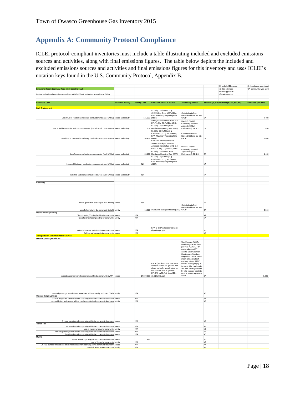## <span id="page-18-0"></span>**Appendix A: Community Protocol Compliance**

ICLEI protocol‐compliant inventories must include a table illustrating included and excluded emissions sources and activities, along with final emissions figures. The table below depicts the included and excluded emissions sources and activities and final emissions figures for this inventory and uses ICLEI's notation keys found in the U.S. Community Protocol, Appendix B.

| Emissions Report Summary Table (2010 baseline year)                                                                                                                   |                           |                          |                                                                                                                                                                                                      |                                                                                                                                                                                                                                                                                                                                                                                           |                          | IE- Included Elsewhere<br>NE- Not estimated | SI- Local government signit<br>CA- community-wide activit |
|-----------------------------------------------------------------------------------------------------------------------------------------------------------------------|---------------------------|--------------------------|------------------------------------------------------------------------------------------------------------------------------------------------------------------------------------------------------|-------------------------------------------------------------------------------------------------------------------------------------------------------------------------------------------------------------------------------------------------------------------------------------------------------------------------------------------------------------------------------------------|--------------------------|---------------------------------------------|-----------------------------------------------------------|
|                                                                                                                                                                       |                           |                          |                                                                                                                                                                                                      |                                                                                                                                                                                                                                                                                                                                                                                           |                          | NA- not applicable                          |                                                           |
| Include estimates of emissions associated with the 5 basic emissions generating activities                                                                            |                           |                          |                                                                                                                                                                                                      |                                                                                                                                                                                                                                                                                                                                                                                           |                          | NO- not occurring                           |                                                           |
|                                                                                                                                                                       | <b>Source or Activity</b> |                          |                                                                                                                                                                                                      |                                                                                                                                                                                                                                                                                                                                                                                           |                          | Included (SI, CA) Excluded (IE, NA, NO, NE) | Emissions (MTCO2e)                                        |
| <b>Emissions Type</b>                                                                                                                                                 |                           | <b>Activity Data</b>     | <b>Emissions Factor &amp; Source</b>                                                                                                                                                                 | <b>Accounting Method</b>                                                                                                                                                                                                                                                                                                                                                                  |                          |                                             |                                                           |
| <b>Built Environment</b>                                                                                                                                              |                           |                          | 53.02 kg CO <sub>2</sub> /MMBtu; 1 g                                                                                                                                                                 |                                                                                                                                                                                                                                                                                                                                                                                           |                          |                                             |                                                           |
| Use of fuel in residential stationary combustion (nat. gas- MMBtu) source and activity                                                                                |                           | 141,000 (MRR)            | CH4/MMBtu; 0.1 g N2O/MMBtu;<br>EPA Mandatory Reporting Rule                                                                                                                                          | Collected data from<br>National Grid and put into<br>CACP                                                                                                                                                                                                                                                                                                                                 | CA                       |                                             | 7,498                                                     |
|                                                                                                                                                                       |                           |                          | Averaged distillate fuel oil #1, 2,4<br>EF= 74.5 kg CO <sub>2</sub> /MMBtu; LPG=                                                                                                                     | Used ICLEI's US<br>Community Protocol                                                                                                                                                                                                                                                                                                                                                     |                          |                                             |                                                           |
| Use of fuel in residential stationary combustion (fuel oil, wood, LPG- MMBtu) source and activity                                                                     |                           |                          | 62.98 kg CO2/MMBtu; EPA<br>11,902 Mandatory Reporting Rule (MRR)<br>53.02 kg CO <sub>2</sub> /MMBtu; 1 g                                                                                             | Appendix C (Built<br>Environment), BE 1.2                                                                                                                                                                                                                                                                                                                                                 | CA                       |                                             | 856                                                       |
| Use of fuel in commercial stationary combustion (nat. gas- MMBtu) source and activity                                                                                 |                           |                          | CH4/MMBtu; 0.1 g N2O/MMBtu;<br>EPA Mandatory Reporting Rule<br>50,469 (MRR)                                                                                                                          | Collected data from<br>National Grid and put into<br>CACP                                                                                                                                                                                                                                                                                                                                 | CA                       |                                             | 2,684                                                     |
|                                                                                                                                                                       |                           |                          | Coal/coke mixed commercial<br>sector= 93.4 kg CO <sub>2</sub> /MMBtu;<br>Averaged distillate fuel oil #1, 2,4<br>EFs= 74.5 kg CO2/MMBtu; LPG=<br>62.98 kg CO <sub>2</sub> /MMBtu; EPA                | Used ICLEI's US<br>Community Protocol<br>Appendix C (Built                                                                                                                                                                                                                                                                                                                                |                          |                                             |                                                           |
| Use of commercial stationary combustion (fuel- MMBtu) source and activity                                                                                             |                           |                          | 20,192 Mandatory Reporting Rule (MRR)<br>53.02 kg CO <sub>2</sub> /MMBtu; 1 g<br>CH4/MMBtu; 0.1 g N2O/MMBtu;<br>EPA Mandatory Reporting Rule                                                         | Environment), BE 1.3                                                                                                                                                                                                                                                                                                                                                                      | CA                       |                                             | 1,462                                                     |
| Industrial Stationary combustion sources (nat. gas- MMBtu) source and activity                                                                                        |                           | N/A                      | (MRR)                                                                                                                                                                                                |                                                                                                                                                                                                                                                                                                                                                                                           | <b>NA</b>                |                                             |                                                           |
| Industrial Stationary combustion sources (fuel- MMBtu) source and activity                                                                                            |                           | N/A                      |                                                                                                                                                                                                      |                                                                                                                                                                                                                                                                                                                                                                                           | <b>NA</b>                |                                             |                                                           |
|                                                                                                                                                                       |                           |                          |                                                                                                                                                                                                      |                                                                                                                                                                                                                                                                                                                                                                                           |                          |                                             |                                                           |
| Electricity                                                                                                                                                           |                           |                          |                                                                                                                                                                                                      |                                                                                                                                                                                                                                                                                                                                                                                           |                          |                                             |                                                           |
|                                                                                                                                                                       |                           | <b>N/A</b>               |                                                                                                                                                                                                      |                                                                                                                                                                                                                                                                                                                                                                                           | <b>NA</b>                |                                             |                                                           |
| Power generation (natural gas use- therms) source                                                                                                                     |                           |                          |                                                                                                                                                                                                      | Collected data from<br>National Grid and put into                                                                                                                                                                                                                                                                                                                                         |                          |                                             |                                                           |
| use of electricity by the community (MWh) activity<br><b>District Heating/Cooling</b>                                                                                 |                           |                          | 16,812 eGrid 2009 subregion factors (EPA) CACP                                                                                                                                                       |                                                                                                                                                                                                                                                                                                                                                                                           | CA                       |                                             | 3,816                                                     |
| District Heating/Cooling facilities in community source                                                                                                               |                           | <b>N/A</b>               |                                                                                                                                                                                                      |                                                                                                                                                                                                                                                                                                                                                                                           | <b>NA</b>                |                                             |                                                           |
| Use of district heating/cooling by community activity                                                                                                                 |                           | <b>N/A</b>               |                                                                                                                                                                                                      |                                                                                                                                                                                                                                                                                                                                                                                           | <b>NA</b>                |                                             |                                                           |
|                                                                                                                                                                       |                           |                          | EPA GHGRP data reported here:                                                                                                                                                                        |                                                                                                                                                                                                                                                                                                                                                                                           |                          |                                             |                                                           |
| Industrial process emissions in the community source                                                                                                                  |                           | <b>N/A</b><br>N/A        | ghgdata.epa.gov                                                                                                                                                                                      |                                                                                                                                                                                                                                                                                                                                                                                           | <b>NA</b><br>NE          |                                             |                                                           |
| Refrigerant leakage in the community source<br><b>Transportation and other Mobile Sources</b>                                                                         |                           |                          |                                                                                                                                                                                                      |                                                                                                                                                                                                                                                                                                                                                                                           |                          |                                             |                                                           |
| On-road passenger vehicles                                                                                                                                            |                           |                          |                                                                                                                                                                                                      |                                                                                                                                                                                                                                                                                                                                                                                           |                          |                                             |                                                           |
| on-road passenger vehicles operating within the community (VMT) source                                                                                                |                           |                          | CACP (Version 3.0) & EPA MRR<br>emission factors for gasoline and<br>diesel (varies by vehicle class for<br>N2O & CH4): LGOP gasoline<br>EF=8.78 kgCO2/gal; diesel EF=<br>14,867,620 10.21 kgCO2/gal | Used formula: AADT x<br>Road Length x 365 days<br>per year = AVMT. For<br>roads without AADT<br>counts, used "Minimum<br>Maintenance Standards<br>Regulation 239/02," which<br>meant taking length of<br>roadway without AADT<br>counts, multiplying by a<br>factor of 6 for rural roads,<br>and then dividing the sum<br>by total roadway length to<br>receive an average AADT<br>count. | CA                       |                                             | 6,896                                                     |
|                                                                                                                                                                       |                           |                          |                                                                                                                                                                                                      |                                                                                                                                                                                                                                                                                                                                                                                           |                          |                                             |                                                           |
| on-road passenger vehicle travel associated with community land uses (VMT) activity<br>On-road freight vehicles                                                       |                           | N/A                      |                                                                                                                                                                                                      |                                                                                                                                                                                                                                                                                                                                                                                           | <b>NE</b>                |                                             |                                                           |
| on-road freight and service vehicles operating within the community boundary source<br>on-road freight and service vehicle travel associated with community land uses | activity                  | N/A<br><b>N/A</b>        |                                                                                                                                                                                                      |                                                                                                                                                                                                                                                                                                                                                                                           | NE<br><b>NE</b>          |                                             |                                                           |
|                                                                                                                                                                       |                           |                          |                                                                                                                                                                                                      |                                                                                                                                                                                                                                                                                                                                                                                           |                          |                                             |                                                           |
| On-road transit vehicles operating within the community boundary source<br><b>Transit Rail</b>                                                                        |                           | N/A                      |                                                                                                                                                                                                      |                                                                                                                                                                                                                                                                                                                                                                                           | <b>NE</b>                |                                             |                                                           |
| transit rail vehicles operating within the community boundary source                                                                                                  |                           | N/A                      |                                                                                                                                                                                                      |                                                                                                                                                                                                                                                                                                                                                                                           | NE                       |                                             |                                                           |
| use of transit rail travel by community activity<br>Inter-city passenger rail vehicles operating within the community boundary source                                 |                           | <b>N/A</b><br><b>N/A</b> |                                                                                                                                                                                                      |                                                                                                                                                                                                                                                                                                                                                                                           | $_{\rm NE}$<br>NF        |                                             |                                                           |
| Freight rail vehicles operating within the community boundary source                                                                                                  |                           | <b>N/A</b>               |                                                                                                                                                                                                      |                                                                                                                                                                                                                                                                                                                                                                                           | $_{\rm NE}$              |                                             |                                                           |
| Marine<br>Marine vessels operating within community boundary source                                                                                                   |                           | <b>N/A</b>               |                                                                                                                                                                                                      |                                                                                                                                                                                                                                                                                                                                                                                           | <b>NA</b>                |                                             |                                                           |
| use of ferries by community activity<br>Off-road surface vehicles and other mobile equipment operating within community boundary source                               |                           | <b>N/A</b><br>N/A        |                                                                                                                                                                                                      |                                                                                                                                                                                                                                                                                                                                                                                           | <b>NA</b><br>$_{\rm NE}$ |                                             |                                                           |
| Use of air travel by the community activity                                                                                                                           |                           | <b>N/A</b>               |                                                                                                                                                                                                      |                                                                                                                                                                                                                                                                                                                                                                                           | <b>NE</b>                |                                             |                                                           |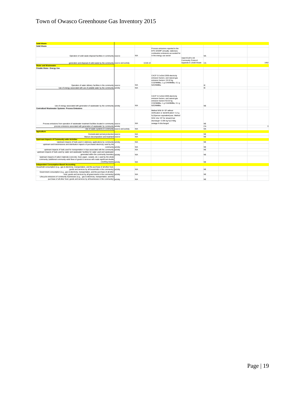## Town of Owasco Greenhouse Gas Inventory 2015

| <b>Solid Waste</b>                                                                                                                                                                                |          |                          |                                                                                                                                                                                               |                            |                        |          |
|---------------------------------------------------------------------------------------------------------------------------------------------------------------------------------------------------|----------|--------------------------|-----------------------------------------------------------------------------------------------------------------------------------------------------------------------------------------------|----------------------------|------------------------|----------|
| <b>Solid Waste</b>                                                                                                                                                                                |          |                          |                                                                                                                                                                                               |                            |                        |          |
| Operation of solid waste disposal facilities in community source                                                                                                                                  |          | <b>N/A</b>               | Process emissions reported to the<br>EPA GHGRP annually: stationary<br>combustion emissions accounted for<br>in the energy use sector                                                         |                            | <b>NA</b>              |          |
|                                                                                                                                                                                                   |          |                          |                                                                                                                                                                                               | Used ICLEI's US            |                        |          |
|                                                                                                                                                                                                   |          |                          |                                                                                                                                                                                               | Community Protocol         |                        |          |
| generation and disposal of solid waste by the community source and activity                                                                                                                       |          | 3.018.10                 |                                                                                                                                                                                               | Appendix E (Solid Waste CA |                        | 1402     |
| <b>Water and Wastewater</b>                                                                                                                                                                       |          |                          |                                                                                                                                                                                               |                            |                        |          |
| Potable Water- Energy Use                                                                                                                                                                         |          |                          |                                                                                                                                                                                               |                            |                        |          |
| Operation of water delivery facilities in the community source                                                                                                                                    |          | N/A                      | CACP 3.0 eGrid 2009 electricity<br>emission factors; and natural gas<br>emission factors= 53.02 kg<br>CO2/MMBtu; 1 g CH4/MMBtu; 0.1 g<br>N2O/MMBtu                                            |                            | IE.                    |          |
| Use of energy associated with use of potable water by the community activity                                                                                                                      |          | N/A                      |                                                                                                                                                                                               |                            | IE                     |          |
| Use of energy associated with generation of wastewater by the community activity                                                                                                                  |          | <b>N/A</b>               | CACP 3.0 eGrid 2009 electricity<br>emission factors; and natural gas<br>emission factors=53.02 kg<br>CO2/MMBtu; 1 g CH4/MMBtu; 0.1 g<br>N2O/MMBtu                                             |                            | NE                     |          |
| <b>Centralized Wastewater Systems- Process Emissions</b>                                                                                                                                          |          |                          | Method WW.8= EF without                                                                                                                                                                       |                            |                        |          |
| Process emissions from operation of wastewater treatment facilities located in community source                                                                                                   |          | <b>N/A</b>               | nitrification or denitrification= 3.2 g<br>N <sub>2</sub> O/person equivalent/year; Method<br>WW.12a= EF for stream/river<br>discharge= 0.005 kg N <sub>2</sub> O-N/kg<br>sewage-N discharged |                            | <b>NE</b>              |          |
| process emissions associated with generation of wastewater by community                                                                                                                           | activity |                          |                                                                                                                                                                                               |                            | CA                     | $\Omega$ |
| Use of septic systems in community source and activity                                                                                                                                            |          | <b>N/A</b>               |                                                                                                                                                                                               |                            | <b>NA</b>              |          |
| <b>Agriculture</b>                                                                                                                                                                                |          |                          |                                                                                                                                                                                               |                            |                        |          |
| Domesticated animal production source                                                                                                                                                             |          | <b>N/A</b>               |                                                                                                                                                                                               |                            | <b>NE</b>              |          |
| Manure decomposition and treatment source                                                                                                                                                         |          | <b>N/A</b>               |                                                                                                                                                                                               |                            | <b>NE</b>              |          |
| <b>Upstream Impacts of Community-wide Activities</b>                                                                                                                                              |          |                          |                                                                                                                                                                                               |                            |                        |          |
| Upstream impacts of fuels used in stationary applications by community activity<br>upstream and transmissions and distribution impacts of purchased electricity used by the<br>community activity |          | <b>N/A</b><br><b>N/A</b> |                                                                                                                                                                                               |                            | <b>NE</b><br><b>NE</b> |          |
| upstream impacts of fuels used for transportation in trips associated with the community                                                                                                          | activity | <b>N/A</b>               |                                                                                                                                                                                               |                            | NE                     |          |
| upstream impacts of fuels used by water and wastewater facilities for water used and wastewater                                                                                                   |          |                          |                                                                                                                                                                                               |                            |                        |          |
| generated within the community boundary activity                                                                                                                                                  |          | <b>N/A</b>               |                                                                                                                                                                                               |                            | NE                     |          |
| Upstream impacts of select materials (concrete, food, paper, carpets, etc.) used by the whole                                                                                                     |          |                          |                                                                                                                                                                                               |                            |                        |          |
| community (additional community-wide flows of goods & services will create significant double                                                                                                     |          |                          |                                                                                                                                                                                               |                            |                        |          |
| counting issues) activity                                                                                                                                                                         |          | N/A                      |                                                                                                                                                                                               |                            | <b>NE</b>              |          |
| <b>Independent Consumption-Based Accounting</b>                                                                                                                                                   |          |                          |                                                                                                                                                                                               |                            |                        |          |
| Household consumption (e.g., gas & electricity, transportation, and the purchase of all other food                                                                                                |          | <b>N/A</b>               |                                                                                                                                                                                               |                            | NE                     |          |
| goods and services by all households in the community) activity<br>Government consumption (e.g., gas & electricity, transportation, and the purchase of all other                                 |          |                          |                                                                                                                                                                                               |                            |                        |          |
| food, goods and services by all governments in the community) activity                                                                                                                            |          | <b>N/A</b>               |                                                                                                                                                                                               |                            | <b>NE</b>              |          |
| Lifecycle emissions of community businesses (e.g., gas & electricity, transportation, and the                                                                                                     |          |                          |                                                                                                                                                                                               |                            |                        |          |
| purchase of all other food, goods and services by all businesses in the community) activity                                                                                                       |          | <b>N/A</b>               |                                                                                                                                                                                               |                            | <b>NE</b>              |          |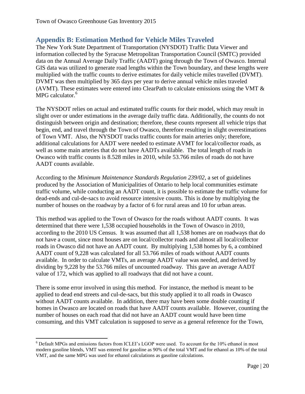## <span id="page-20-0"></span>**Appendix B: Estimation Method for Vehicle Miles Traveled**

The New York State Department of Transportation (NYSDOT) Traffic Data Viewer and information collected by the Syracuse Metropolitan Transportation Council (SMTC) provided data on the Annual Average Daily Traffic (AADT) going through the Town of Owasco. Internal GIS data was utilized to generate road lengths within the Town boundary, and these lengths were multiplied with the traffic counts to derive estimates for daily vehicle miles travelled (DVMT). DVMT was then multiplied by 365 days per year to derive annual vehicle miles traveled (AVMT). These estimates were entered into ClearPath to calculate emissions using the VMT & MPG calculator.<sup>6</sup>

The NYSDOT relies on actual and estimated traffic counts for their model, which may result in slight over or under estimations in the average daily traffic data. Additionally, the counts do not distinguish between origin and destination; therefore, these counts represent all vehicle trips that begin, end, and travel through the Town of Owasco, therefore resulting in slight overestimations of Town VMT. Also, the NYSDOT tracks traffic counts for main arteries only; therefore, additional calculations for AADT were needed to estimate AVMT for local/collector roads, as well as some main arteries that do not have AADTs available. The total length of roads in Owasco with traffic counts is 8.528 miles in 2010, while 53.766 miles of roads do not have AADT counts available.

According to the *Minimum Maintenance Standards Regulation 239/02*, a set of guidelines produced by the Association of Municipalities of Ontario to help local communities estimate traffic volume, while conducting an AADT count, it is possible to estimate the traffic volume for dead-ends and cul-de-sacs to avoid resource intensive counts. This is done by multiplying the number of houses on the roadway by a factor of 6 for rural areas and 10 for urban areas.

This method was applied to the Town of Owasco for the roads without AADT counts. It was determined that there were 1,538 occupied households in the Town of Owasco in 2010, according to the 2010 US Census. It was assumed that all 1,538 homes are on roadways that do not have a count, since most houses are on local/collector roads and almost all local/collector roads in Owasco did not have an AADT count. By multiplying 1,538 homes by 6, a combined AADT count of 9,228 was calculated for all 53.766 miles of roads without AADT counts available. In order to calculate VMTs, an average AADT value was needed, and derived by dividing by 9,228 by the 53.766 miles of uncounted roadway. This gave an average AADT value of 172, which was applied to all roadways that did not have a count.

There is some error involved in using this method. For instance, the method is meant to be applied to dead end streets and cul-de-sacs, but this study applied it to all roads in Owasco without AADT counts available. In addition, there may have been some double counting if homes in Owasco are located on roads that have AADT counts available. However, counting the number of houses on each road that did not have an AADT count would have been time consuming, and this VMT calculation is supposed to serve as a general reference for the Town,

 $\overline{\phantom{a}}$ 

<sup>6</sup> Default MPGs and emissions factors from ICLEI's LGOP were used. To account for the 10% ethanol in most modern gasoline blends, VMT was entered for gasoline as 90% of the total VMT and for ethanol as 10% of the total VMT, and the same MPG was used for ethanol calculations as gasoline calculations.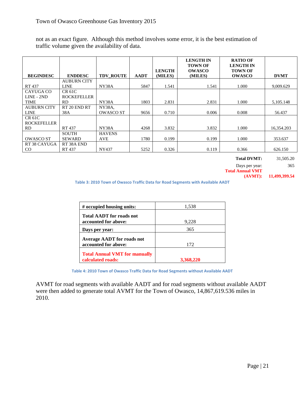not as an exact figure. Although this method involves some error, it is the best estimation of traffic volume given the availability of data.

| <b>BEGINDESC</b>                    | <b>ENDDESC</b>               | <b>TDV ROUTE</b>           | <b>AADT</b> | <b>LENGTH</b><br>(MILES) | <b>LENGTH IN</b><br><b>TOWN OF</b><br><b>OWASCO</b><br>(MILES) | <b>RATIO OF</b><br><b>LENGTH IN</b><br><b>TOWN OF</b><br><b>OWASCO</b> | <b>DVMT</b> |
|-------------------------------------|------------------------------|----------------------------|-------------|--------------------------|----------------------------------------------------------------|------------------------------------------------------------------------|-------------|
|                                     | <b>AUBURN CITY</b>           |                            |             |                          |                                                                |                                                                        |             |
| RT 437                              | <b>LINE</b>                  | NY38A                      | 5847        | 1.541                    | 1.541                                                          | 1.000                                                                  | 9,009.629   |
| CAYUGA CO<br>LINE - 2ND             | CR 61C<br><b>ROCKEFELLER</b> |                            |             |                          |                                                                |                                                                        |             |
| <b>TIME</b>                         | <b>RD</b>                    | NY38A                      | 1803        | 2.831                    | 2.831                                                          | 1.000                                                                  | 5,105.148   |
| <b>AUBURN CITY</b><br><b>LINE</b>   | RT 20 END RT<br>38A          | NY38A.<br><b>OWASCO ST</b> | 9656        | 0.710                    | 0.006                                                          | 0.008                                                                  | 56.437      |
| <b>CR 61C</b><br><b>ROCKEFELLER</b> |                              |                            |             |                          |                                                                |                                                                        |             |
| RD.                                 | <b>RT437</b>                 | NY38A                      | 4268        | 3.832                    | 3.832                                                          | 1.000                                                                  | 16,354.203  |
|                                     | <b>SOUTH</b>                 | <b>HAVENS</b>              |             |                          |                                                                |                                                                        |             |
| <b>OWASCO ST</b>                    | <b>SEWARD</b>                | <b>AVE</b>                 | 1780        | 0.199                    | 0.199                                                          | 1.000                                                                  | 353.637     |
| RT 38 CAYUGA<br>$_{\rm CO}$         | RT 38A END<br><b>RT437</b>   | NY437                      | 5252        | 0.326                    | 0.119                                                          | 0.366                                                                  | 626.150     |

**Total DVMT:** 31,505.20

Days per year: 365

**Total Annual VMT** 

**(AVMT): 11,499,399.54**

**Table 3: 2010 Town of Owasco Traffic Data for Road Segments with Available AADT**

| # occupied housing units:                                 | 1,538     |
|-----------------------------------------------------------|-----------|
| <b>Total AADT</b> for roads not<br>accounted for above:   | 9,228     |
| Days per year:                                            | 365       |
| <b>Average AADT</b> for roads not<br>accounted for above: | 172       |
| <b>Total Annual VMT for manually</b><br>calculated roads: | 3,368,220 |

**Table 4: 2010 Town of Owasco Traffic Data for Road Segments without Available AADT**

AVMT for road segments with available AADT and for road segments without available AADT were then added to generate total AVMT for the Town of Owasco, 14,867,619.536 miles in 2010.